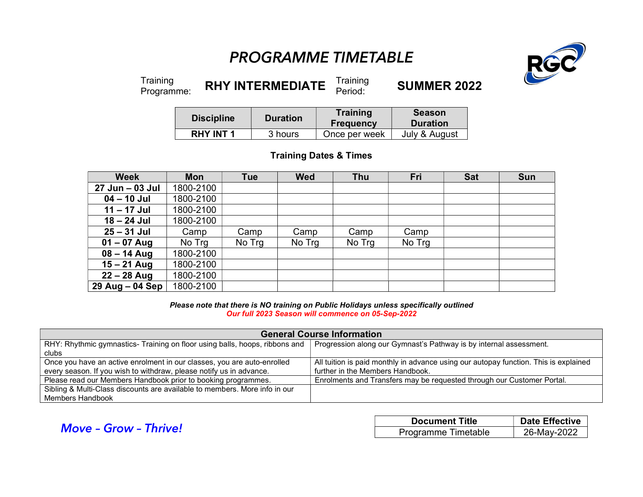## PROGRAMME TIMETABLE



Training<br>Programme:

RHY INTERMEDIATE  $\frac{Training}{Period:}$ **SUMMER 2022** 

| <b>Discipline</b> | <b>Duration</b> | Training<br><b>Frequency</b> | <b>Season</b><br><b>Duration</b> |
|-------------------|-----------------|------------------------------|----------------------------------|
| <b>RHY INT 1</b>  | 3 hours         | Once per week                | July & August                    |

## Training Dates & Times

| <b>Week</b>     | <b>Mon</b> | <b>Tue</b> | <b>Wed</b> | <b>Thu</b> | Fri    | <b>Sat</b> | <b>Sun</b> |
|-----------------|------------|------------|------------|------------|--------|------------|------------|
| 27 Jun - 03 Jul | 1800-2100  |            |            |            |        |            |            |
| $04 - 10$ Jul   | 1800-2100  |            |            |            |        |            |            |
| $11 - 17$ Jul   | 1800-2100  |            |            |            |        |            |            |
| $18 - 24$ Jul   | 1800-2100  |            |            |            |        |            |            |
| $25 - 31$ Jul   | Camp       | Camp       | Camp       | Camp       | Camp   |            |            |
| $01 - 07$ Aug   | No Trg     | No Trg     | No Trg     | No Trg     | No Trg |            |            |
| $08 - 14$ Aug   | 1800-2100  |            |            |            |        |            |            |
| $15 - 21$ Aug   | 1800-2100  |            |            |            |        |            |            |
| $22 - 28$ Aug   | 1800-2100  |            |            |            |        |            |            |
| 29 Aug - 04 Sep | 1800-2100  |            |            |            |        |            |            |

Please note that there is NO training on Public Holidays unless specifically outlined Our full 2023 Season will commence on 05-Sep-2022

| <b>General Course Information</b>                                           |                                                                                      |  |  |  |
|-----------------------------------------------------------------------------|--------------------------------------------------------------------------------------|--|--|--|
| RHY: Rhythmic gymnastics- Training on floor using balls, hoops, ribbons and | Progression along our Gymnast's Pathway is by internal assessment.                   |  |  |  |
| clubs                                                                       |                                                                                      |  |  |  |
| Once you have an active enrolment in our classes, you are auto-enrolled     | All tuition is paid monthly in advance using our autopay function. This is explained |  |  |  |
| every season. If you wish to withdraw, please notify us in advance.         | further in the Members Handbook.                                                     |  |  |  |
| Please read our Members Handbook prior to booking programmes.               | Enrolments and Transfers may be requested through our Customer Portal.               |  |  |  |
| Sibling & Multi-Class discounts are available to members. More info in our  |                                                                                      |  |  |  |
| Members Handbook                                                            |                                                                                      |  |  |  |

|                              | <b>Document Title</b> | <b>Date Effective</b> |
|------------------------------|-----------------------|-----------------------|
| <b>Move - Grow - Thrive!</b> | Programme Timetable   | 26-May-2022           |